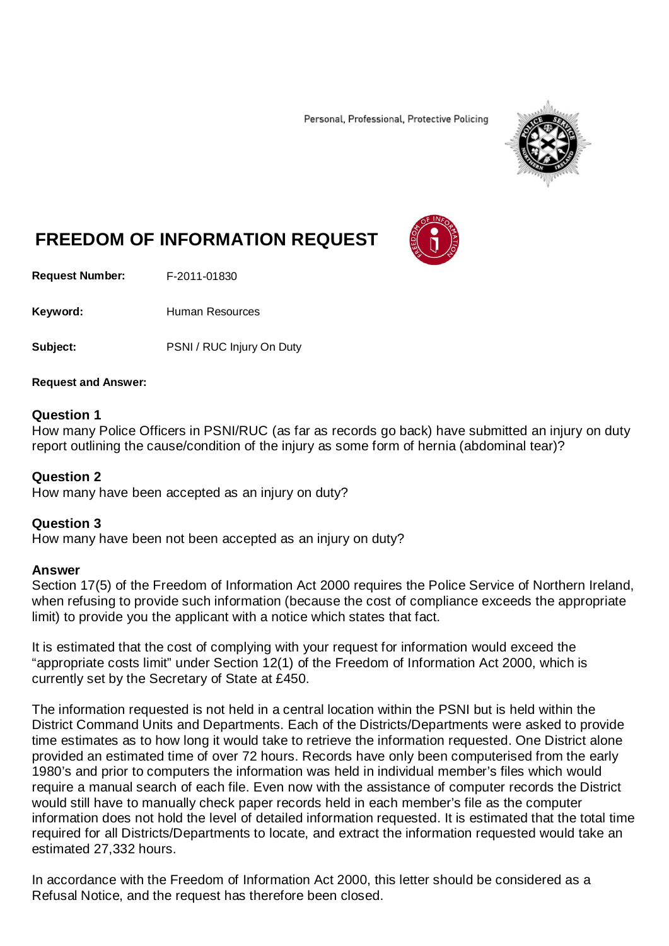Personal, Professional, Protective Policing



# **FREEDOM OF INFORMATION REQUEST**

**Request Number:** F-2011-01830

Keyword: Human Resources

Subject: PSNI / RUC Injury On Duty

#### **Request and Answer:**

## **Question 1**

How many Police Officers in PSNI/RUC (as far as records go back) have submitted an injury on duty report outlining the cause/condition of the injury as some form of hernia (abdominal tear)?

### **Question 2**

How many have been accepted as an injury on duty?

### **Question 3**

How many have been not been accepted as an injury on duty?

### **Answer**

Section 17(5) of the Freedom of Information Act 2000 requires the Police Service of Northern Ireland, when refusing to provide such information (because the cost of compliance exceeds the appropriate limit) to provide you the applicant with a notice which states that fact.

It is estimated that the cost of complying with your request for information would exceed the "appropriate costs limit" under Section 12(1) of the Freedom of Information Act 2000, which is currently set by the Secretary of State at £450.

The information requested is not held in a central location within the PSNI but is held within the District Command Units and Departments. Each of the Districts/Departments were asked to provide time estimates as to how long it would take to retrieve the information requested. One District alone provided an estimated time of over 72 hours. Records have only been computerised from the early 1980's and prior to computers the information was held in individual member's files which would require a manual search of each file. Even now with the assistance of computer records the District would still have to manually check paper records held in each member's file as the computer information does not hold the level of detailed information requested. It is estimated that the total time required for all Districts/Departments to locate, and extract the information requested would take an estimated 27,332 hours.

In accordance with the Freedom of Information Act 2000, this letter should be considered as a Refusal Notice, and the request has therefore been closed.